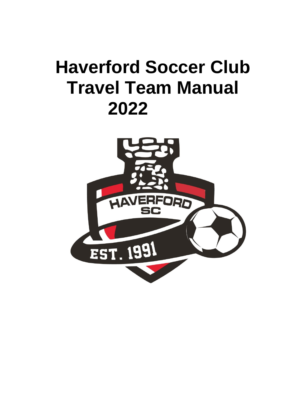# **Haverford Soccer Club Travel Team Manual 2022**

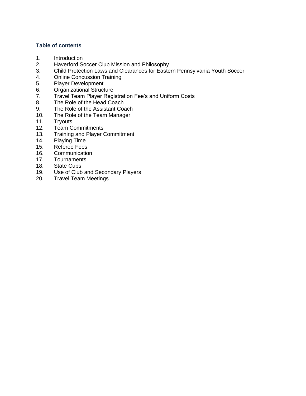# **Table of contents**

- 1. Introduction
- 2. Haverford Soccer Club Mission and Philosophy
- 3. Child Protection Laws and Clearances for Eastern Pennsylvania Youth Soccer
- 4. Online Concussion Training
- 5. Player Development
- 6. Organizational Structure
- 7. Travel Team Player Registration Fee's and Uniform Costs
- 8. The Role of the Head Coach
- 9. The Role of the Assistant Coach
- 10. The Role of the Team Manager
- 11. Tryouts
- 12. Team Commitments
- 13. Training and Player Commitment
- 14. Playing Time
- 15. Referee Fees
- 16. Communication
- 17. Tournaments<br>18. State Cups
- **State Cups**
- 19. Use of Club and Secondary Players
- 20. Travel Team Meetings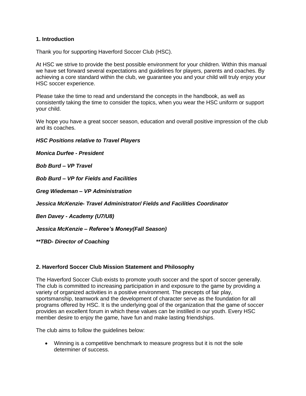# **1. Introduction**

Thank you for supporting Haverford Soccer Club (HSC).

At HSC we strive to provide the best possible environment for your children. Within this manual we have set forward several expectations and guidelines for players, parents and coaches. By achieving a core standard within the club, we guarantee you and your child will truly enjoy your HSC soccer experience.

Please take the time to read and understand the concepts in the handbook, as well as consistently taking the time to consider the topics, when you wear the HSC uniform or support your child.

We hope you have a great soccer season, education and overall positive impression of the club and its coaches.

#### *HSC Positions relative to Travel Players*

*Monica Durfee - President*

*Bob Burd – VP Travel*

*Bob Burd – VP for Fields and Facilities*

*Greg Wiedeman – VP Administration* 

*Jessica McKenzie- Travel Administrator/ Fields and Facilities Coordinator*

*Ben Davey - Academy (U7/U8)* 

*Jessica McKenzie – Referee's Money(Fall Season)*

*\*\*TBD- Director of Coaching*

# **2. Haverford Soccer Club Mission Statement and Philosophy**

The Haverford Soccer Club exists to promote youth soccer and the sport of soccer generally. The club is committed to increasing participation in and exposure to the game by providing a variety of organized activities in a positive environment. The precepts of fair play, sportsmanship, teamwork and the development of character serve as the foundation for all programs offered by HSC. It is the underlying goal of the organization that the game of soccer provides an excellent forum in which these values can be instilled in our youth. Every HSC member desire to enjoy the game, have fun and make lasting friendships.

The club aims to follow the guidelines below:

• Winning is a competitive benchmark to measure progress but it is not the sole determiner of success.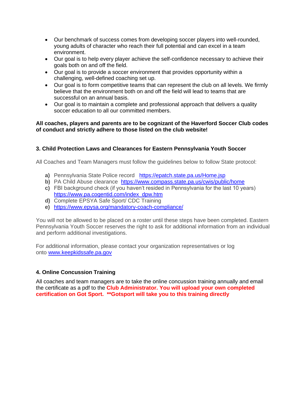- Our benchmark of success comes from developing soccer players into well-rounded, young adults of character who reach their full potential and can excel in a team environment.
- Our goal is to help every player achieve the self-confidence necessary to achieve their goals both on and off the field.
- Our goal is to provide a soccer environment that provides opportunity within a challenging, well-defined coaching set up.
- Our goal is to form competitive teams that can represent the club on all levels. We firmly believe that the environment both on and off the field will lead to teams that are successful on an annual basis.
- Our goal is to maintain a complete and professional approach that delivers a quality soccer education to all our committed members.

#### **All coaches, players and parents are to be cognizant of the Haverford Soccer Club codes of conduct and strictly adhere to those listed on the club website!**

# **3. Child Protection Laws and Clearances for Eastern Pennsylvania Youth Soccer**

All Coaches and Team Managers must follow the guidelines below to follow State protocol:

- **a)** Pennsylvania State Police record <https://epatch.state.pa.us/Home.jsp>
- **b)** PA Child Abuse clearance <https://www.compass.state.pa.us/cwis/public/home>
- **c)** FBI background check (if you haven't resided in Pennsylvania for the last 10 years) [https://www.pa.cogentid.com/index\\_dpw.htm](https://www.pa.cogentid.com/index_dpw.htm)
- **d)** Complete EPSYA Safe Sport/ CDC Training
- **e)** <https://www.epysa.org/mandatory-coach-compliance/>

You will not be allowed to be placed on a roster until these steps have been completed. Eastern Pennsylvania Youth Soccer reserves the right to ask for additional information from an individual and perform additional investigations.

For additional information, please contact your organization representatives or log onto [www.keepkidssafe.pa.gov](http://www.keepkidssafe.pa.gov/)

# **4. Online Concussion Training**

All coaches and team managers are to take the online concussion training annually and email the certificate as a pdf to the **Club Administrator. You will upload your own completed certification on Got Sport. \*\*Gotsport will take you to this training directly**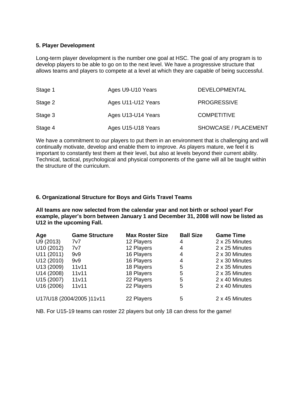#### **5. Player Development**

Long-term player development is the number one goal at HSC. The goal of any program is to develop players to be able to go on to the next level. We have a progressive structure that allows teams and players to compete at a level at which they are capable of being successful.

| Stage 1 | Ages U9-U10 Years  | <b>DEVELOPMENTAL</b> |
|---------|--------------------|----------------------|
| Stage 2 | Ages U11-U12 Years | <b>PROGRESSIVE</b>   |
| Stage 3 | Ages U13-U14 Years | <b>COMPETITIVE</b>   |
| Stage 4 | Ages U15-U18 Years | SHOWCASE / PLACEMENT |

We have a commitment to our players to put them in an environment that is challenging and will continually motivate, develop and enable them to improve. As players mature, we feel it is important to constantly test them at their level, but also at levels beyond their current ability. Technical, tactical, psychological and physical components of the game will all be taught within the structure of the curriculum.

#### **6. Organizational Structure for Boys and Girls Travel Teams**

**All teams are now selected from the calendar year and not birth or school year! For example, player's born between January 1 and December 31, 2008 will now be listed as U12 in the upcoming Fall.**

| Age                       | <b>Game Structure</b> | <b>Max Roster Size</b> | <b>Ball Size</b> | <b>Game Time</b> |
|---------------------------|-----------------------|------------------------|------------------|------------------|
| U9 (2013)                 | 7v7.                  | 12 Players             | 4                | 2 x 25 Minutes   |
| U10 (2012)                | 7v7                   | 12 Players             | 4                | 2 x 25 Minutes   |
| U11 (2011)                | 9v9                   | 16 Players             | 4                | 2 x 30 Minutes   |
| U12 (2010)                | 9v9                   | 16 Players             | 4                | 2 x 30 Minutes   |
| U13 (2009)                | 11v11                 | 18 Players             | 5                | 2 x 35 Minutes   |
| U14 (2008)                | 11v11                 | 18 Players             | 5                | 2 x 35 Minutes   |
| U15 (2007)                | 11v11                 | 22 Players             | 5                | 2 x 40 Minutes   |
| U16 (2006)                | 11v11                 | 22 Players             | 5                | 2 x 40 Minutes   |
| U17/U18 (2004/2005) 11v11 |                       | 22 Players             | 5                | 2 x 45 Minutes   |

NB. For U15-19 teams can roster 22 players but only 18 can dress for the game!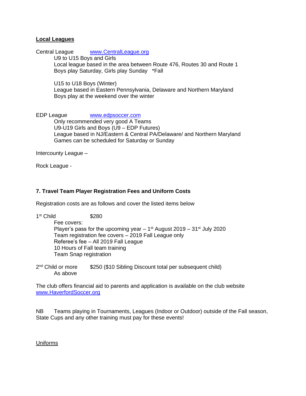#### **Local Leagues**

Central League [www.CentralLeague.org](http://www.centralleague.org/)

U9 to U15 Boys and Girls Local league based in the area between Route 476, Routes 30 and Route 1 Boys play Saturday, Girls play Sunday \*Fall

U15 to U18 Boys (Winter)

League based in Eastern Pennsylvania, Delaware and Northern Maryland Boys play at the weekend over the winter

EDP League [www.edpsoccer.com](http://www.edpsoccer.com/)

Only recommended very good A Teams U9-U19 Girls and Boys (U9 – EDP Futures) League based in NJ/Eastern & Central PA/Delaware/ and Northern Maryland Games can be scheduled for Saturday or Sunday

Intercounty League –

Rock League -

# **7. Travel Team Player Registration Fees and Uniform Costs**

Registration costs are as follows and cover the listed items below

| 1 <sup>st</sup> Child | \$280                                                                    |
|-----------------------|--------------------------------------------------------------------------|
|                       | Fee covers:                                                              |
|                       | Player's pass for the upcoming year $-1st$ August 2019 $-31st$ July 2020 |
|                       | Team registration fee covers - 2019 Fall League only                     |
|                       | Referee's fee - All 2019 Fall League                                     |
|                       | 10 Hours of Fall team training                                           |
|                       | <b>Team Snap registration</b>                                            |
|                       |                                                                          |

2<sup>nd</sup> Child or more \$250 (\$10 Sibling Discount total per subsequent child) As above

The club offers financial aid to parents and application is available on the club website [www.HaverfordSoccer.org](http://www.haverfordsoccer.org/)

NB Teams playing in Tournaments, Leagues (Indoor or Outdoor) outside of the Fall season, State Cups and any other training must pay for these events!

Uniforms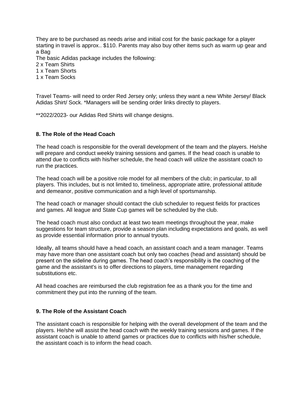They are to be purchased as needs arise and initial cost for the basic package for a player starting in travel is approx.. \$110. Parents may also buy other items such as warm up gear and a Bag

The basic Adidas package includes the following:

2 x Team Shirts

1 x Team Shorts

1 x Team Socks

Travel Teams- will need to order Red Jersey only; unless they want a new White Jersey/ Black Adidas Shirt/ Sock. \*Managers will be sending order links directly to players.

\*\*2022/2023- our Adidas Red Shirts will change designs.

# **8. The Role of the Head Coach**

The head coach is responsible for the overall development of the team and the players. He/she will prepare and conduct weekly training sessions and games. If the head coach is unable to attend due to conflicts with his/her schedule, the head coach will utilize the assistant coach to run the practices.

The head coach will be a positive role model for all members of the club; in particular, to all players. This includes, but is not limited to, timeliness, appropriate attire, professional attitude and demeanor, positive communication and a high level of sportsmanship.

The head coach or manager should contact the club scheduler to request fields for practices and games. All league and State Cup games will be scheduled by the club.

The head coach must also conduct at least two team meetings throughout the year, make suggestions for team structure, provide a season plan including expectations and goals, as well as provide essential information prior to annual tryouts.

Ideally, all teams should have a head coach, an assistant coach and a team manager. Teams may have more than one assistant coach but only two coaches (head and assistant) should be present on the sideline during games. The head coach's responsibility is the coaching of the game and the assistant's is to offer directions to players, time management regarding substitutions etc.

All head coaches are reimbursed the club registration fee as a thank you for the time and commitment they put into the running of the team.

# **9. The Role of the Assistant Coach**

The assistant coach is responsible for helping with the overall development of the team and the players. He/she will assist the head coach with the weekly training sessions and games. If the assistant coach is unable to attend games or practices due to conflicts with his/her schedule, the assistant coach is to inform the head coach.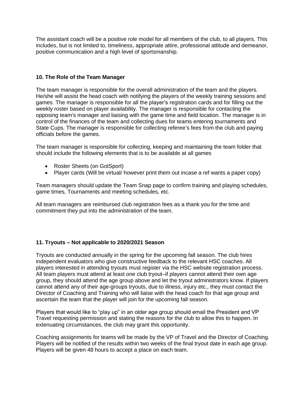The assistant coach will be a positive role model for all members of the club, to all players. This includes, but is not limited to, timeliness, appropriate attire, professional attitude and demeanor, positive communication and a high level of sportsmanship.

# **10. The Role of the Team Manager**

The team manager is responsible for the overall administration of the team and the players. He/she will assist the head coach with notifying the players of the weekly training sessions and games. The manager is responsible for all the player's registration cards and for filling out the weekly roster based on player availability. The manager is responsible for contacting the opposing team's manager and liaising with the game time and field location. The manager is in control of the finances of the team and collecting dues for teams entering tournaments and State Cups. The manager is responsible for collecting referee's fees from the club and paying officials before the games.

The team manager is responsible for collecting, keeping and maintaining the team folder that should include the following elements that is to be available at all games

- Roster Sheets (on GotSport)
- Player cards (Will be virtual/ however print them out incase a ref wants a paper copy)

Team managers should update the Team Snap page to confirm training and playing schedules, game times, Tournaments and meeting schedules, etc.

All team managers are reimbursed club registration fees as a thank you for the time and commitment they put into the administration of the team.

# **11. Tryouts – Not applicable to 2020/2021 Season**

Tryouts are conducted annually in the spring for the upcoming fall season. The club hires independent evaluators who give constructive feedback to the relevant HSC coaches. All players interested in attending tryouts must register via the HSC website registration process. All team players must attend at least one club tryout–if players cannot attend their own age group, they should attend the age group above and let the tryout administrators know. If players cannot attend any of their age-groups tryouts, due to illness, injury etc., they must contact the Director of Coaching and Training who will liaise with the head coach for that age group and ascertain the team that the player will join for the upcoming fall season.

Players that would like to "play up" in an older age group should email the President and VP Travel requesting permission and stating the reasons for the club to allow this to happen. In extenuating circumstances, the club may grant this opportunity.

Coaching assignments for teams will be made by the VP of Travel and the Director of Coaching. Players will be notified of the results within two weeks of the final tryout date in each age group. Players will be given 48 hours to accept a place on each team.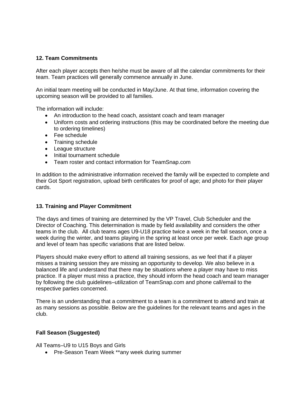# **12. Team Commitments**

After each player accepts then he/she must be aware of all the calendar commitments for their team. Team practices will generally commence annually in June.

An initial team meeting will be conducted in May/June. At that time, information covering the upcoming season will be provided to all families.

The information will include:

- An introduction to the head coach, assistant coach and team manager
- Uniform costs and ordering instructions (this may be coordinated before the meeting due to ordering timelines)
- Fee schedule
- Training schedule
- League structure
- Initial tournament schedule
- Team roster and contact information for TeamSnap.com

In addition to the administrative information received the family will be expected to complete and their Got Sport registration, upload birth certificates for proof of age; and photo for their player cards.

# **13. Training and Player Commitment**

The days and times of training are determined by the VP Travel, Club Scheduler and the Director of Coaching. This determination is made by field availability and considers the other teams in the club. All club teams ages U9-U18 practice twice a week in the fall season, once a week during the winter, and teams playing in the spring at least once per week. Each age group and level of team has specific variations that are listed below.

Players should make every effort to attend all training sessions, as we feel that if a player misses a training session they are missing an opportunity to develop. We also believe in a balanced life and understand that there may be situations where a player may have to miss practice. If a player must miss a practice, they should inform the head coach and team manager by following the club guidelines–utilization of TeamSnap.com and phone call/email to the respective parties concerned.

There is an understanding that a commitment to a team is a commitment to attend and train at as many sessions as possible. Below are the guidelines for the relevant teams and ages in the club.

# **Fall Season (Suggested)**

All Teams–U9 to U15 Boys and Girls

• Pre-Season Team Week \*\*any week during summer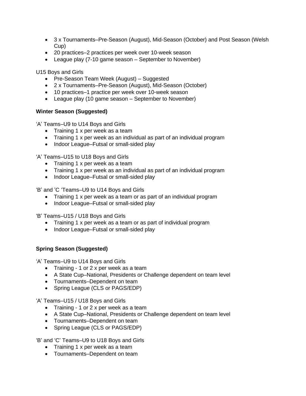- 3 x Tournaments–Pre-Season (August), Mid-Season (October) and Post Season (Welsh Cup)
- 20 practices–2 practices per week over 10-week season
- League play (7-10 game season September to November)

U15 Boys and Girls

- Pre-Season Team Week (August) Suggested
- 2 x Tournaments–Pre-Season (August), Mid-Season (October)
- 10 practices–1 practice per week over 10-week season
- League play (10 game season September to November)

# **Winter Season (Suggested)**

'A' Teams–U9 to U14 Boys and Girls

- Training 1 x per week as a team
- Training 1 x per week as an individual as part of an individual program
- Indoor League–Futsal or small-sided play

'A' Teams–U15 to U18 Boys and Girls

- Training 1 x per week as a team
- Training 1 x per week as an individual as part of an individual program
- Indoor League–Futsal or small-sided play

'B' and 'C 'Teams–U9 to U14 Boys and Girls

- Training 1 x per week as a team or as part of an individual program
- Indoor League–Futsal or small-sided play

'B' Teams–U15 / U18 Boys and Girls

- Training 1 x per week as a team or as part of individual program
- Indoor League–Futsal or small-sided play

# **Spring Season (Suggested)**

'A' Teams–U9 to U14 Boys and Girls

- Training 1 or 2 x per week as a team
- A State Cup–National, Presidents or Challenge dependent on team level
- Tournaments–Dependent on team
- Spring League (CLS or PAGS/EDP)

'A' Teams–U15 / U18 Boys and Girls

- Training 1 or 2 x per week as a team
- A State Cup–National, Presidents or Challenge dependent on team level
- Tournaments–Dependent on team
- Spring League (CLS or PAGS/EDP)

'B' and 'C' Teams–U9 to U18 Boys and Girls

- Training 1 x per week as a team
- Tournaments–Dependent on team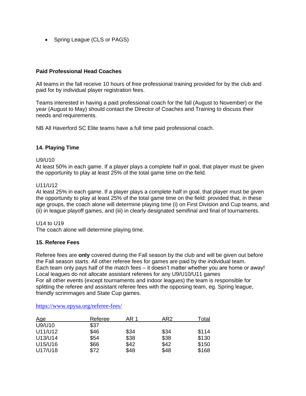• Spring League (CLS or PAGS)

#### **Paid Professional Head Coaches**

All teams in the fall receive 10 hours of free professional training provided for by the club and paid for by individual player registration fees.

Teams interested in having a paid professional coach for the fall (August to November) or the year (August to May) should contact the Director of Coaches and Training to discuss their needs and requirements.

NB All Haverford SC Elite teams have a full time paid professional coach.

#### **14. Playing Time**

#### U9/U10

At least 50% in each game. If a player plays a complete half in goal, that player must be given the opportunity to play at least 25% of the total game time on the field.

#### U11/U12

At least 25% in each game. If a player plays a complete half in goal, that player must be given the opportunity to play at least 25% of the total game time on the field: provided that, in these age groups, the coach alone will determine playing time (i) on First Division and Cup teams, and (ii) in league playoff games, and (iii) in clearly designated semifinal and final of tournaments.

#### U14 to U19

The coach alone will determine playing time.

#### **15. Referee Fees**

Referee fees are **only** covered during the Fall season by the club and will be given out before the Fall season starts. All other referee fees for games are paid by the individual team. Each team only pays half of the match fees – it doesn't matter whether you are home or away! Local leagues do not allocate assistant referees for any U9/U10/U11 games For all other events (except tournaments and indoor leagues) the team is responsible for splitting the referee and assistant referee fees with the opposing team, eg. Spring league, friendly scrimmages and State Cup games.

| <u>Age</u> | Referee | AR 1 | AR <sub>2</sub> | Total |
|------------|---------|------|-----------------|-------|
| U9/U10     | \$37    |      |                 |       |
| U11/U12    | \$46    | \$34 | \$34            | \$114 |
| U13/U14    | \$54    | \$38 | \$38            | \$130 |
| U15/U16    | \$66    | \$42 | \$42            | \$150 |
| U17/U18    | \$72    | \$48 | \$48            | \$168 |

#### <https://www.epysa.org/referee-fees/>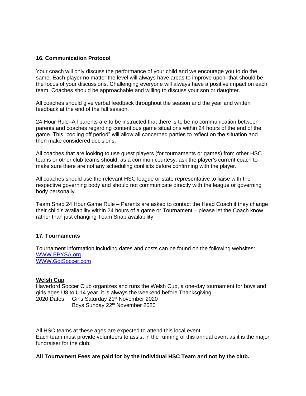# **16. Communication Protocol**

Your coach will only discuss the performance of your child and we encourage you to do the same. Each player no matter the level will always have areas to improve upon–that should be the focus of your discussions. Challenging everyone will always have a positive impact on each team. Coaches should be approachable and willing to discuss your son or daughter.

All coaches should give verbal feedback throughout the season and the year and written feedback at the end of the fall season.

24-Hour Rule–All parents are to be instructed that there is to be no communication between parents and coaches regarding contentious game situations within 24 hours of the end of the game. This "cooling off period" will allow all concerned parties to reflect on the situation and then make considered decisions.

All coaches that are looking to use guest players (for tournaments or games) from other HSC teams or other club teams should, as a common courtesy, ask the player's current coach to make sure there are not any scheduling conflicts before confirming with the player.

All coaches should use the relevant HSC league or state representative to liaise with the respective governing body and should not communicate directly with the league or governing body personally.

Team Snap 24 Hour Game Rule – Parents are asked to contact the Head Coach if they change their child's availability within 24 hours of a game or Tournament – please let the Coach know rather than just changing Team Snap availability!

#### **17. Tournaments**

Tournament information including dates and costs can be found on the following websites: [WWW.EPYSA.org](http://www.epysa.org/) [WWW.GotSoccer.com](http://www.gotsoccer.com/)

#### **Welsh Cup**

Haverford Soccer Club organizes and runs the Welsh Cup, a one-day tournament for boys and girls ages U8 to U14 year, it is always the weekend before Thanksgiving. 2020 Dates Girls Saturday 21<sup>st</sup> November 2020 Boys Sunday 22<sup>th</sup> November 2020

All HSC teams at these ages are expected to attend this local event. Each team must provide volunteers to assist in the running of this annual event as it is the major fundraiser for the club.

**All Tournament Fees are paid for by the Individual HSC Team and not by the club.**